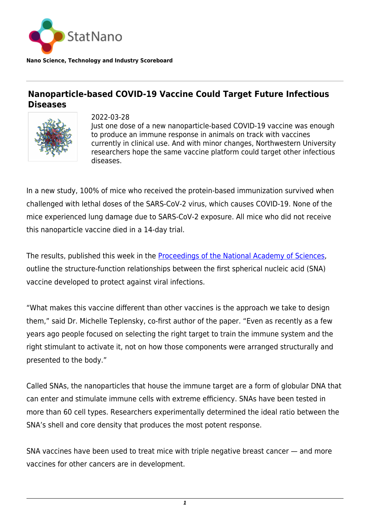

**Nano Science, Technology and Industry Scoreboard**

## **Nanoparticle-based COVID-19 Vaccine Could Target Future Infectious Diseases**



2022-03-28 Just one dose of a new nanoparticle-based COVID-19 vaccine was enough to produce an immune response in animals on track with vaccines currently in clinical use. And with minor changes, Northwestern University researchers hope the same vaccine platform could target other infectious diseases.

In a new study, 100% of mice who received the protein-based immunization survived when challenged with lethal doses of the SARS-CoV-2 virus, which causes COVID-19. None of the mice experienced lung damage due to SARS-CoV-2 exposure. All mice who did not receive this nanoparticle vaccine died in a 14-day trial.

The results, published this week in the [Proceedings of the National Academy of Sciences](https://www.pnas.org/doi/pdf/10.1073/pnas.2119093119), outline the structure-function relationships between the first spherical nucleic acid (SNA) vaccine developed to protect against viral infections.

"What makes this vaccine different than other vaccines is the approach we take to design them," said Dr. Michelle Teplensky, co-first author of the paper. "Even as recently as a few years ago people focused on selecting the right target to train the immune system and the right stimulant to activate it, not on how those components were arranged structurally and presented to the body."

Called SNAs, the nanoparticles that house the immune target are a form of globular DNA that can enter and stimulate immune cells with extreme efficiency. SNAs have been tested in more than 60 cell types. Researchers experimentally determined the ideal ratio between the SNA's shell and core density that produces the most potent response.

SNA vaccines have been used to treat mice with triple negative breast cancer — and more vaccines for other cancers are in development.

*<sup>1</sup>*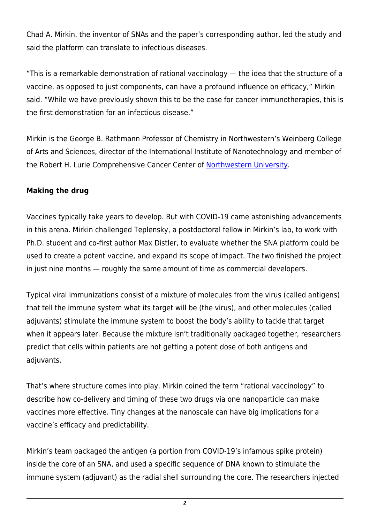Chad A. Mirkin, the inventor of SNAs and the paper's corresponding author, led the study and said the platform can translate to infectious diseases.

"This is a remarkable demonstration of rational vaccinology — the idea that the structure of a vaccine, as opposed to just components, can have a profound influence on efficacy," Mirkin said. "While we have previously shown this to be the case for cancer immunotherapies, this is the first demonstration for an infectious disease."

Mirkin is the George B. Rathmann Professor of Chemistry in Northwestern's Weinberg College of Arts and Sciences, director of the International Institute of Nanotechnology and member of the Robert H. Lurie Comprehensive Cancer Center of [Northwestern University](https://statnano.com/org/Northwestern-University).

## **Making the drug**

Vaccines typically take years to develop. But with COVID-19 came astonishing advancements in this arena. Mirkin challenged Teplensky, a postdoctoral fellow in Mirkin's lab, to work with Ph.D. student and co-first author Max Distler, to evaluate whether the SNA platform could be used to create a potent vaccine, and expand its scope of impact. The two finished the project in just nine months — roughly the same amount of time as commercial developers.

Typical viral immunizations consist of a mixture of molecules from the virus (called antigens) that tell the immune system what its target will be (the virus), and other molecules (called adjuvants) stimulate the immune system to boost the body's ability to tackle that target when it appears later. Because the mixture isn't traditionally packaged together, researchers predict that cells within patients are not getting a potent dose of both antigens and adjuvants.

That's where structure comes into play. Mirkin coined the term "rational vaccinology" to describe how co-delivery and timing of these two drugs via one nanoparticle can make vaccines more effective. Tiny changes at the nanoscale can have big implications for a vaccine's efficacy and predictability.

Mirkin's team packaged the antigen (a portion from COVID-19's infamous spike protein) inside the core of an SNA, and used a specific sequence of DNA known to stimulate the immune system (adjuvant) as the radial shell surrounding the core. The researchers injected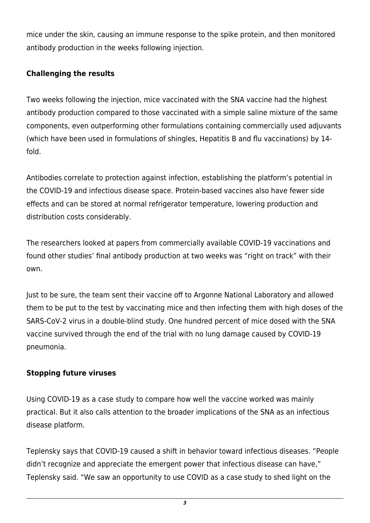mice under the skin, causing an immune response to the spike protein, and then monitored antibody production in the weeks following injection.

## **Challenging the results**

Two weeks following the injection, mice vaccinated with the SNA vaccine had the highest antibody production compared to those vaccinated with a simple saline mixture of the same components, even outperforming other formulations containing commercially used adjuvants (which have been used in formulations of shingles, Hepatitis B and flu vaccinations) by 14 fold.

Antibodies correlate to protection against infection, establishing the platform's potential in the COVID-19 and infectious disease space. Protein-based vaccines also have fewer side effects and can be stored at normal refrigerator temperature, lowering production and distribution costs considerably.

The researchers looked at papers from commercially available COVID-19 vaccinations and found other studies' final antibody production at two weeks was "right on track" with their own.

Just to be sure, the team sent their vaccine off to Argonne National Laboratory and allowed them to be put to the test by vaccinating mice and then infecting them with high doses of the SARS-CoV-2 virus in a double-blind study. One hundred percent of mice dosed with the SNA vaccine survived through the end of the trial with no lung damage caused by COVID-19 pneumonia.

## **Stopping future viruses**

Using COVID-19 as a case study to compare how well the vaccine worked was mainly practical. But it also calls attention to the broader implications of the SNA as an infectious disease platform.

Teplensky says that COVID-19 caused a shift in behavior toward infectious diseases. "People didn't recognize and appreciate the emergent power that infectious disease can have," Teplensky said. "We saw an opportunity to use COVID as a case study to shed light on the

*3*